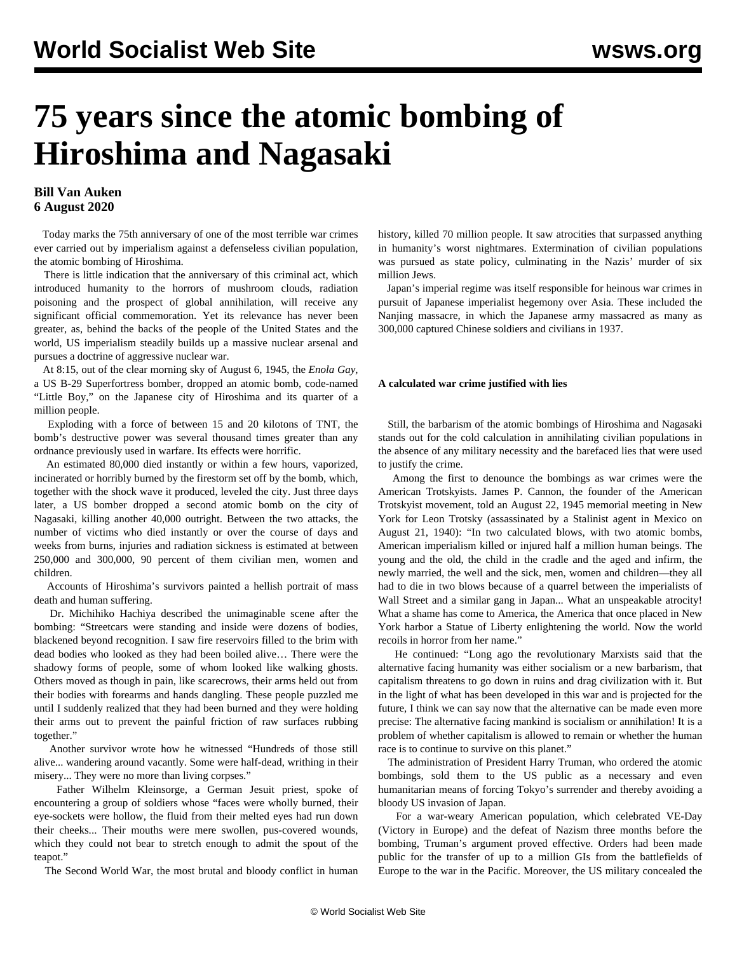# **75 years since the atomic bombing of Hiroshima and Nagasaki**

### **Bill Van Auken 6 August 2020**

 Today marks the 75th anniversary of one of the most terrible war crimes ever carried out by imperialism against a defenseless civilian population, the atomic bombing of Hiroshima.

 There is little indication that the anniversary of this criminal act, which introduced humanity to the horrors of mushroom clouds, radiation poisoning and the prospect of global annihilation, will receive any significant official commemoration. Yet its relevance has never been greater, as, behind the backs of the people of the United States and the world, US imperialism steadily builds up a massive nuclear arsenal and pursues a doctrine of aggressive nuclear war.

 At 8:15, out of the clear morning sky of August 6, 1945, the *Enola Gay*, a US B-29 Superfortress bomber, dropped an atomic bomb, code-named "Little Boy," on the Japanese city of Hiroshima and its quarter of a million people.

 Exploding with a force of between 15 and 20 kilotons of TNT, the bomb's destructive power was several thousand times greater than any ordnance previously used in warfare. Its effects were horrific.

 An estimated 80,000 died instantly or within a few hours, vaporized, incinerated or horribly burned by the firestorm set off by the bomb, which, together with the shock wave it produced, leveled the city. Just three days later, a US bomber dropped a second atomic bomb on the city of Nagasaki, killing another 40,000 outright. Between the two attacks, the number of victims who died instantly or over the course of days and weeks from burns, injuries and radiation sickness is estimated at between 250,000 and 300,000, 90 percent of them civilian men, women and children.

 Accounts of Hiroshima's survivors painted a hellish portrait of mass death and human suffering.

 Dr. Michihiko Hachiya described the unimaginable scene after the bombing: "Streetcars were standing and inside were dozens of bodies, blackened beyond recognition. I saw fire reservoirs filled to the brim with dead bodies who looked as they had been boiled alive… There were the shadowy forms of people, some of whom looked like walking ghosts. Others moved as though in pain, like scarecrows, their arms held out from their bodies with forearms and hands dangling. These people puzzled me until I suddenly realized that they had been burned and they were holding their arms out to prevent the painful friction of raw surfaces rubbing together."

 Another survivor wrote how he witnessed "Hundreds of those still alive... wandering around vacantly. Some were half-dead, writhing in their misery... They were no more than living corpses."

 Father Wilhelm Kleinsorge, a German Jesuit priest, spoke of encountering a group of soldiers whose "faces were wholly burned, their eye-sockets were hollow, the fluid from their melted eyes had run down their cheeks... Their mouths were mere swollen, pus-covered wounds, which they could not bear to stretch enough to admit the spout of the teapot."

The Second World War, the most brutal and bloody conflict in human

history, killed 70 million people. It saw atrocities that surpassed anything in humanity's worst nightmares. Extermination of civilian populations was pursued as state policy, culminating in the Nazis' murder of six million Jews.

 Japan's imperial regime was itself responsible for heinous war crimes in pursuit of Japanese imperialist hegemony over Asia. These included the Nanjing massacre, in which the Japanese army massacred as many as 300,000 captured Chinese soldiers and civilians in 1937.

#### **A calculated war crime justified with lies**

 Still, the barbarism of the atomic bombings of Hiroshima and Nagasaki stands out for the cold calculation in annihilating civilian populations in the absence of any military necessity and the barefaced lies that were used to justify the crime.

 Among the first to denounce the bombings as war crimes were the American Trotskyists. James P. Cannon, the founder of the American Trotskyist movement, told an August 22, 1945 memorial meeting in New York for Leon Trotsky (assassinated by a Stalinist agent in Mexico on August 21, 1940): "In two calculated blows, with two atomic bombs, American imperialism killed or injured half a million human beings. The young and the old, the child in the cradle and the aged and infirm, the newly married, the well and the sick, men, women and children—they all had to die in two blows because of a quarrel between the imperialists of Wall Street and a similar gang in Japan... What an unspeakable atrocity! What a shame has come to America, the America that once placed in New York harbor a Statue of Liberty enlightening the world. Now the world recoils in horror from her name."

 He continued: "Long ago the revolutionary Marxists said that the alternative facing humanity was either socialism or a new barbarism, that capitalism threatens to go down in ruins and drag civilization with it. But in the light of what has been developed in this war and is projected for the future, I think we can say now that the alternative can be made even more precise: The alternative facing mankind is socialism or annihilation! It is a problem of whether capitalism is allowed to remain or whether the human race is to continue to survive on this planet."

 The administration of President Harry Truman, who ordered the atomic bombings, sold them to the US public as a necessary and even humanitarian means of forcing Tokyo's surrender and thereby avoiding a bloody US invasion of Japan.

 For a war-weary American population, which celebrated VE-Day (Victory in Europe) and the defeat of Nazism three months before the bombing, Truman's argument proved effective. Orders had been made public for the transfer of up to a million GIs from the battlefields of Europe to the war in the Pacific. Moreover, the US military concealed the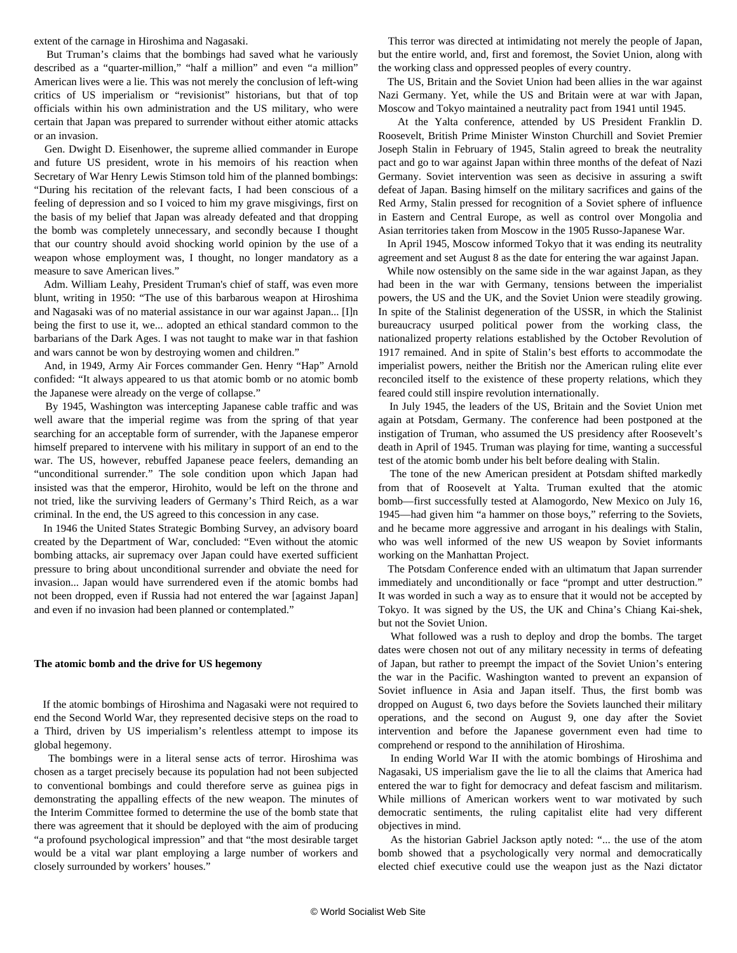extent of the carnage in Hiroshima and Nagasaki.

 But Truman's claims that the bombings had saved what he variously described as a "quarter-million," "half a million" and even "a million" American lives were a lie. This was not merely the conclusion of left-wing critics of US imperialism or "revisionist" historians, but that of top officials within his own administration and the US military, who were certain that Japan was prepared to surrender without either atomic attacks or an invasion.

 Gen. Dwight D. Eisenhower, the supreme allied commander in Europe and future US president, wrote in his memoirs of his reaction when Secretary of War Henry Lewis Stimson told him of the planned bombings: "During his recitation of the relevant facts, I had been conscious of a feeling of depression and so I voiced to him my grave misgivings, first on the basis of my belief that Japan was already defeated and that dropping the bomb was completely unnecessary, and secondly because I thought that our country should avoid shocking world opinion by the use of a weapon whose employment was, I thought, no longer mandatory as a measure to save American lives."

 Adm. William Leahy, President Truman's chief of staff, was even more blunt, writing in 1950: "The use of this barbarous weapon at Hiroshima and Nagasaki was of no material assistance in our war against Japan... [I]n being the first to use it, we... adopted an ethical standard common to the barbarians of the Dark Ages. I was not taught to make war in that fashion and wars cannot be won by destroying women and children."

 And, in 1949, Army Air Forces commander Gen. Henry "Hap" Arnold confided: "It always appeared to us that atomic bomb or no atomic bomb the Japanese were already on the verge of collapse."

 By 1945, Washington was intercepting Japanese cable traffic and was well aware that the imperial regime was from the spring of that year searching for an acceptable form of surrender, with the Japanese emperor himself prepared to intervene with his military in support of an end to the war. The US, however, rebuffed Japanese peace feelers, demanding an "unconditional surrender." The sole condition upon which Japan had insisted was that the emperor, Hirohito, would be left on the throne and not tried, like the surviving leaders of Germany's Third Reich, as a war criminal. In the end, the US agreed to this concession in any case.

 In 1946 the United States Strategic Bombing Survey, an advisory board created by the Department of War, concluded: "Even without the atomic bombing attacks, air supremacy over Japan could have exerted sufficient pressure to bring about unconditional surrender and obviate the need for invasion... Japan would have surrendered even if the atomic bombs had not been dropped, even if Russia had not entered the war [against Japan] and even if no invasion had been planned or contemplated."

#### **The atomic bomb and the drive for US hegemony**

 If the atomic bombings of Hiroshima and Nagasaki were not required to end the Second World War, they represented decisive steps on the road to a Third, driven by US imperialism's relentless attempt to impose its global hegemony.

 The bombings were in a literal sense acts of terror. Hiroshima was chosen as a target precisely because its population had not been subjected to conventional bombings and could therefore serve as guinea pigs in demonstrating the appalling effects of the new weapon. The minutes of the Interim Committee formed to determine the use of the bomb state that there was agreement that it should be deployed with the aim of producing "a profound psychological impression" and that "the most desirable target would be a vital war plant employing a large number of workers and closely surrounded by workers' houses."

 This terror was directed at intimidating not merely the people of Japan, but the entire world, and, first and foremost, the Soviet Union, along with the working class and oppressed peoples of every country.

 The US, Britain and the Soviet Union had been allies in the war against Nazi Germany. Yet, while the US and Britain were at war with Japan, Moscow and Tokyo maintained a neutrality pact from 1941 until 1945.

 At the Yalta conference, attended by US President Franklin D. Roosevelt, British Prime Minister Winston Churchill and Soviet Premier Joseph Stalin in February of 1945, Stalin agreed to break the neutrality pact and go to war against Japan within three months of the defeat of Nazi Germany. Soviet intervention was seen as decisive in assuring a swift defeat of Japan. Basing himself on the military sacrifices and gains of the Red Army, Stalin pressed for recognition of a Soviet sphere of influence in Eastern and Central Europe, as well as control over Mongolia and Asian territories taken from Moscow in the 1905 Russo-Japanese War.

 In April 1945, Moscow informed Tokyo that it was ending its neutrality agreement and set August 8 as the date for entering the war against Japan.

 While now ostensibly on the same side in the war against Japan, as they had been in the war with Germany, tensions between the imperialist powers, the US and the UK, and the Soviet Union were steadily growing. In spite of the Stalinist degeneration of the USSR, in which the Stalinist bureaucracy usurped political power from the working class, the nationalized property relations established by the October Revolution of 1917 remained. And in spite of Stalin's best efforts to accommodate the imperialist powers, neither the British nor the American ruling elite ever reconciled itself to the existence of these property relations, which they feared could still inspire revolution internationally.

 In July 1945, the leaders of the US, Britain and the Soviet Union met again at Potsdam, Germany. The conference had been postponed at the instigation of Truman, who assumed the US presidency after Roosevelt's death in April of 1945. Truman was playing for time, wanting a successful test of the atomic bomb under his belt before dealing with Stalin.

 The tone of the new American president at Potsdam shifted markedly from that of Roosevelt at Yalta. Truman exulted that the atomic bomb—first successfully tested at Alamogordo, New Mexico on July 16, 1945—had given him "a hammer on those boys," referring to the Soviets, and he became more aggressive and arrogant in his dealings with Stalin, who was well informed of the new US weapon by Soviet informants working on the Manhattan Project.

 The Potsdam Conference ended with an ultimatum that Japan surrender immediately and unconditionally or face "prompt and utter destruction." It was worded in such a way as to ensure that it would not be accepted by Tokyo. It was signed by the US, the UK and China's Chiang Kai-shek, but not the Soviet Union.

 What followed was a rush to deploy and drop the bombs. The target dates were chosen not out of any military necessity in terms of defeating of Japan, but rather to preempt the impact of the Soviet Union's entering the war in the Pacific. Washington wanted to prevent an expansion of Soviet influence in Asia and Japan itself. Thus, the first bomb was dropped on August 6, two days before the Soviets launched their military operations, and the second on August 9, one day after the Soviet intervention and before the Japanese government even had time to comprehend or respond to the annihilation of Hiroshima.

 In ending World War II with the atomic bombings of Hiroshima and Nagasaki, US imperialism gave the lie to all the claims that America had entered the war to fight for democracy and defeat fascism and militarism. While millions of American workers went to war motivated by such democratic sentiments, the ruling capitalist elite had very different objectives in mind.

 As the historian Gabriel Jackson aptly noted: "... the use of the atom bomb showed that a psychologically very normal and democratically elected chief executive could use the weapon just as the Nazi dictator